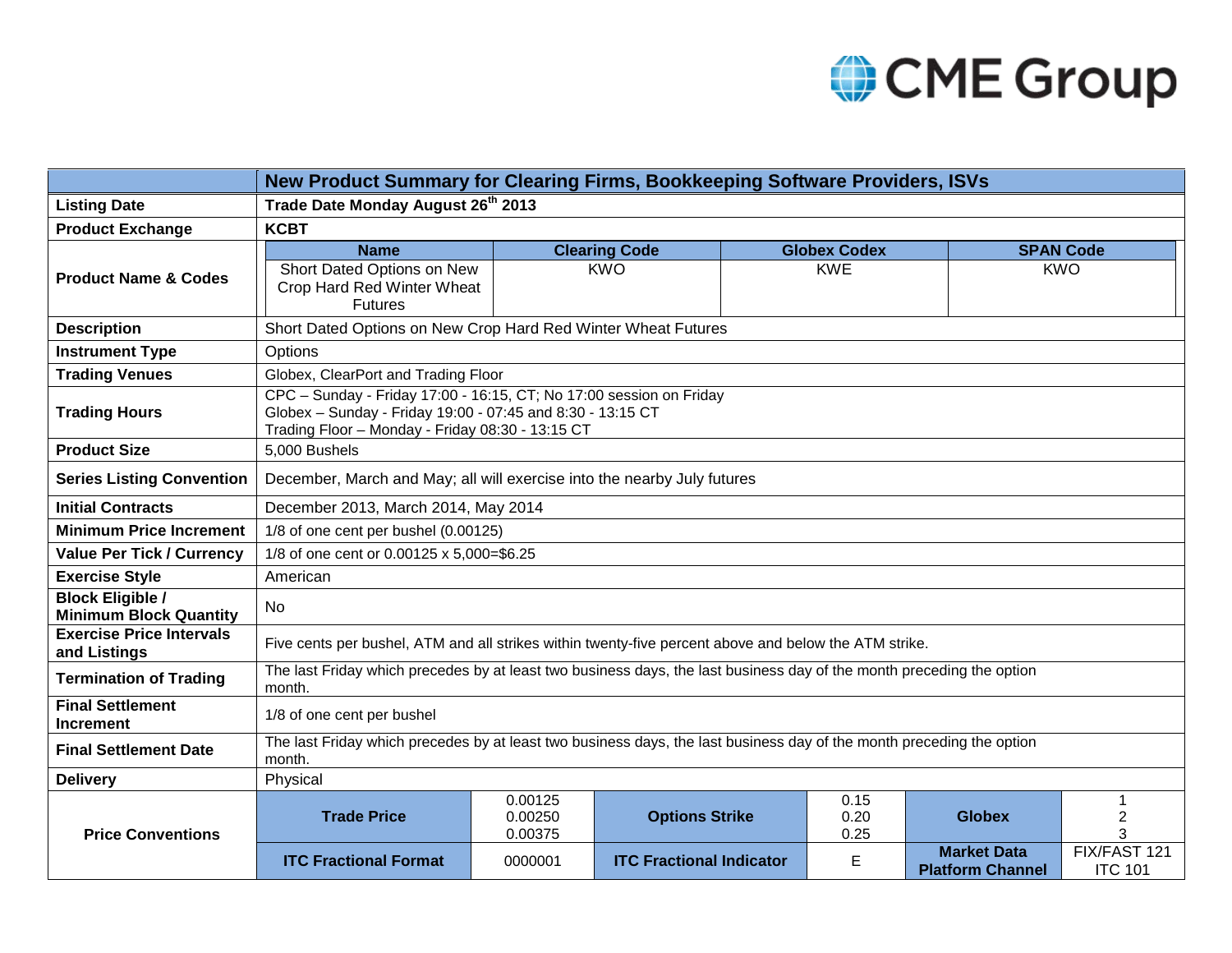

|                                                          | New Product Summary for Clearing Firms, Bookkeeping Software Providers, ISVs                                                                                                          |                               |                                 |  |                      |                                               |                                     |  |  |  |  |
|----------------------------------------------------------|---------------------------------------------------------------------------------------------------------------------------------------------------------------------------------------|-------------------------------|---------------------------------|--|----------------------|-----------------------------------------------|-------------------------------------|--|--|--|--|
| <b>Listing Date</b>                                      | Trade Date Monday August 26th 2013                                                                                                                                                    |                               |                                 |  |                      |                                               |                                     |  |  |  |  |
| <b>Product Exchange</b>                                  | <b>KCBT</b>                                                                                                                                                                           |                               |                                 |  |                      |                                               |                                     |  |  |  |  |
| <b>Product Name &amp; Codes</b>                          | <b>Name</b>                                                                                                                                                                           |                               | <b>Clearing Code</b>            |  | <b>Globex Codex</b>  |                                               | <b>SPAN Code</b>                    |  |  |  |  |
|                                                          | Short Dated Options on New<br>Crop Hard Red Winter Wheat<br><b>Futures</b>                                                                                                            |                               | <b>KWO</b>                      |  | <b>KWE</b>           |                                               | <b>KWO</b>                          |  |  |  |  |
| <b>Description</b>                                       | Short Dated Options on New Crop Hard Red Winter Wheat Futures                                                                                                                         |                               |                                 |  |                      |                                               |                                     |  |  |  |  |
| <b>Instrument Type</b>                                   | Options                                                                                                                                                                               |                               |                                 |  |                      |                                               |                                     |  |  |  |  |
| <b>Trading Venues</b>                                    | Globex, ClearPort and Trading Floor                                                                                                                                                   |                               |                                 |  |                      |                                               |                                     |  |  |  |  |
| <b>Trading Hours</b>                                     | CPC - Sunday - Friday 17:00 - 16:15, CT; No 17:00 session on Friday<br>Globex - Sunday - Friday 19:00 - 07:45 and 8:30 - 13:15 CT<br>Trading Floor - Monday - Friday 08:30 - 13:15 CT |                               |                                 |  |                      |                                               |                                     |  |  |  |  |
| <b>Product Size</b>                                      | 5,000 Bushels                                                                                                                                                                         |                               |                                 |  |                      |                                               |                                     |  |  |  |  |
| <b>Series Listing Convention</b>                         | December, March and May; all will exercise into the nearby July futures                                                                                                               |                               |                                 |  |                      |                                               |                                     |  |  |  |  |
| <b>Initial Contracts</b>                                 | December 2013, March 2014, May 2014                                                                                                                                                   |                               |                                 |  |                      |                                               |                                     |  |  |  |  |
| <b>Minimum Price Increment</b>                           | 1/8 of one cent per bushel (0.00125)                                                                                                                                                  |                               |                                 |  |                      |                                               |                                     |  |  |  |  |
| <b>Value Per Tick / Currency</b>                         | 1/8 of one cent or 0.00125 x 5,000=\$6.25                                                                                                                                             |                               |                                 |  |                      |                                               |                                     |  |  |  |  |
| <b>Exercise Style</b>                                    | American                                                                                                                                                                              |                               |                                 |  |                      |                                               |                                     |  |  |  |  |
| <b>Block Eligible /</b><br><b>Minimum Block Quantity</b> | No.                                                                                                                                                                                   |                               |                                 |  |                      |                                               |                                     |  |  |  |  |
| <b>Exercise Price Intervals</b><br>and Listings          | Five cents per bushel, ATM and all strikes within twenty-five percent above and below the ATM strike.                                                                                 |                               |                                 |  |                      |                                               |                                     |  |  |  |  |
| <b>Termination of Trading</b>                            | The last Friday which precedes by at least two business days, the last business day of the month preceding the option<br>month.                                                       |                               |                                 |  |                      |                                               |                                     |  |  |  |  |
| <b>Final Settlement</b><br><b>Increment</b>              | 1/8 of one cent per bushel                                                                                                                                                            |                               |                                 |  |                      |                                               |                                     |  |  |  |  |
| <b>Final Settlement Date</b>                             | The last Friday which precedes by at least two business days, the last business day of the month preceding the option<br>month.                                                       |                               |                                 |  |                      |                                               |                                     |  |  |  |  |
| <b>Delivery</b>                                          | Physical                                                                                                                                                                              |                               |                                 |  |                      |                                               |                                     |  |  |  |  |
| <b>Price Conventions</b>                                 | <b>Trade Price</b>                                                                                                                                                                    | 0.00125<br>0.00250<br>0.00375 | <b>Options Strike</b>           |  | 0.15<br>0.20<br>0.25 | <b>Globex</b>                                 | $\mathbf{1}$<br>$\overline{2}$<br>3 |  |  |  |  |
|                                                          | <b>ITC Fractional Format</b>                                                                                                                                                          | 0000001                       | <b>ITC Fractional Indicator</b> |  | E                    | <b>Market Data</b><br><b>Platform Channel</b> | FIX/FAST 121<br><b>ITC 101</b>      |  |  |  |  |